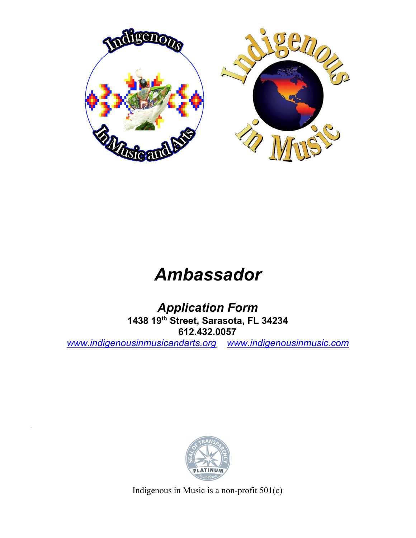

# *Ambassador*

*Application Form* **1438 19 th Street, Sarasota, FL 34234 612.432.0057** *[www.indigenousinmusicandarts.org](http://www.indigenousinmusicandarts.org/) [www.indigenousinmusic.com](http://www.indigenousinmusicandarts.org/)*



Indigenous in Music is a non-profit 501(c)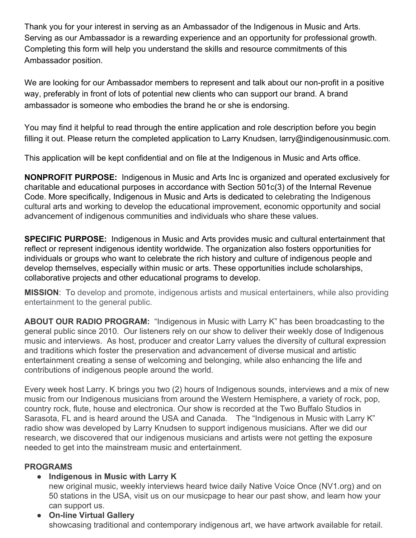Thank you for your interest in serving as an Ambassador of the Indigenous in Music and Arts. Serving as our Ambassador is a rewarding experience and an opportunity for professional growth. Completing this form will help you understand the skills and resource commitments of this Ambassador position.

We are looking for our Ambassador members to represent and talk about our non-profit in a positive way, preferably in front of lots of potential new clients who can support our brand. A brand ambassador is someone who embodies the brand he or she is endorsing.

You may find it helpful to read through the entire application and role description before you begin filling it out. Please return the completed application to Larry Knudsen, larry@indigenousinmusic.com.

This application will be kept confidential and on file at the Indigenous in Music and Arts office.

**NONPROFIT PURPOSE:** Indigenous in Music and Arts Inc is organized and operated exclusively for charitable and educational purposes in accordance with Section 501c(3) of the Internal Revenue Code. More specifically, Indigenous in Music and Arts is dedicated to celebrating the Indigenous cultural arts and working to develop the educational improvement, economic opportunity and social advancement of indigenous communities and individuals who share these values.

**SPECIFIC PURPOSE:** Indigenous in Music and Arts provides music and cultural entertainment that reflect or represent indigenous identity worldwide. The organization also fosters opportunities for individuals or groups who want to celebrate the rich history and culture of indigenous people and develop themselves, especially within music or arts. These opportunities include scholarships, collaborative projects and other educational programs to develop.

**MISSION**: To develop and promote, indigenous artists and musical entertainers, while also providing entertainment to the general public.

**ABOUT OUR RADIO PROGRAM:** "Indigenous in Music with Larry K" has been broadcasting to the general public since 2010. Our listeners rely on our show to deliver their weekly dose of Indigenous music and interviews. As host, producer and creator Larry values the diversity of cultural expression and traditions which foster the preservation and advancement of diverse musical and artistic entertainment creating a sense of welcoming and belonging, while also enhancing the life and contributions of indigenous people around the world.

Every week host Larry. K brings you two (2) hours of Indigenous sounds, interviews and a mix of new music from our Indigenous musicians from around the Western Hemisphere, a variety of rock, pop, country rock, flute, house and electronica. Our show is recorded at the Two Buffalo Studios in Sarasota, FL and is heard around the USA and Canada. The "Indigenous in Music with Larry K" radio show was developed by Larry Knudsen to support indigenous musicians. After we did our research, we discovered that our indigenous musicians and artists were not getting the exposure needed to get into the mainstream music and entertainment.

#### **PROGRAMS**

#### ● **Indigenous in Music with Larry K**

new original music, weekly interviews heard twice daily Native Voice Once (NV1.org) and on 50 stations in the USA, visit us on our musicpage to hear our past show, and learn how your can support us.

● **On-line Virtual Gallery** showcasing traditional and contemporary indigenous art, we have artwork available for retail.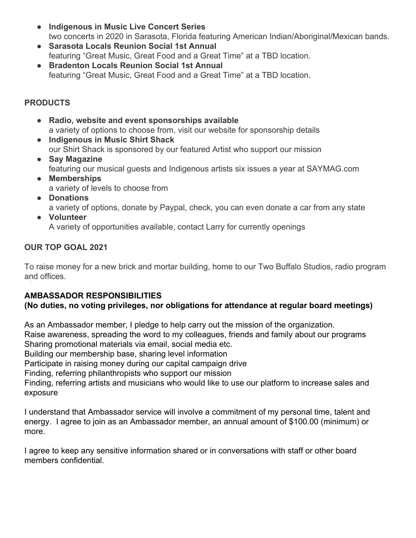- **Indigenous in Music Live Concert Series** two concerts in 2020 in Sarasota, Florida featuring American Indian/Aboriginal/Mexican bands.
- **● Sarasota Locals Reunion Social 1st Annual** featuring "Great Music, Great Food and a Great Time" at a TBD location.
- **● Bradenton Locals Reunion Social 1st Annual** featuring "Great Music, Great Food and a Great Time" at a TBD location.

#### **PRODUCTS**

- **Radio, website and event sponsorships available** a variety of options to choose from, visit our website for sponsorship details
- **Indigenous in Music Shirt Shack** our Shirt Shack is sponsored by our featured Artist who support our mission
- **Say Magazine** featuring our musical guests and Indigenous artists six issues a year at SAYMAG.com
- **● Memberships** a variety of levels to choose from
- **● Donations** a variety of options, donate by Paypal, check, you can even donate a car from any state
- **● Volunteer**

A variety of opportunities available, contact Larry for currently openings

### **OUR TOP GOAL 2021**

To raise money for a new brick and mortar building, home to our Two Buffalo Studios, radio program and offices.

# **AMBASSADOR RESPONSIBILITIES**

# **(No duties, no voting privileges, nor obligations for attendance at regular board meetings)**

As an Ambassador member, I pledge to help carry out the mission of the organization. Raise awareness, spreading the word to my colleagues, friends and family about our programs Sharing promotional materials via email, social media etc.

Building our membership base, sharing level information

Participate in raising money during our capital campaign drive

Finding, referring philanthropists who support our mission

Finding, referring artists and musicians who would like to use our platform to increase sales and exposure

I understand that Ambassador service will involve a commitment of my personal time, talent and energy. I agree to join as an Ambassador member, an annual amount of \$100.00 (minimum) or more.

I agree to keep any sensitive information shared or in conversations with staff or other board members confidential.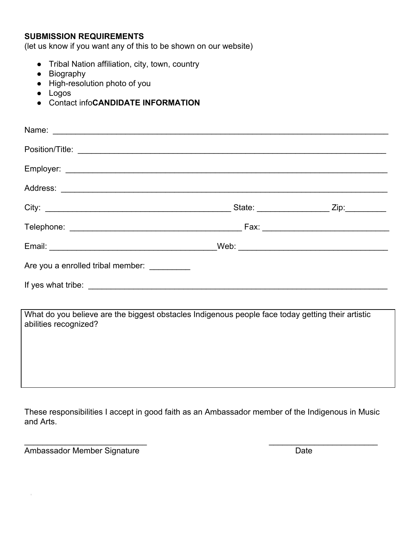#### **SUBMISSION REQUIREMENTS**

(let us know if you want any of this to be shown on our website)

- Tribal Nation affiliation, city, town, country
- Biography
- High-resolution photo of you
- Logos
- Contact info**CANDIDATE INFORMATION**

| Are you a enrolled tribal member: __________                                                                               |  |
|----------------------------------------------------------------------------------------------------------------------------|--|
|                                                                                                                            |  |
| What do you believe are the biggest obstacles Indigenous people face today getting their artistic<br>abilities recognized? |  |

These responsibilities I accept in good faith as an Ambassador member of the Indigenous in Music and Arts.

 $\overline{\phantom{a}}$  , and the contract of the contract of the contract of the contract of the contract of the contract of the contract of the contract of the contract of the contract of the contract of the contract of the contrac

Ambassador Member Signature **Date** Date

 $\bar{z}$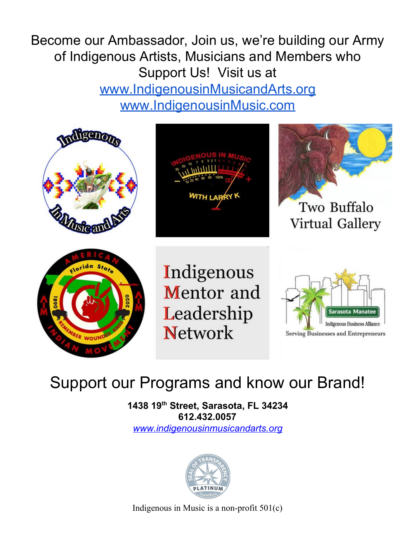Become our Ambassador, Join us, we're building our Army of Indigenous Artists, Musicians and Members who Support Us! Visit us at [www.IndigenousinMusicandArts.org](http://www.indigenousinmusicandarts.org/) [www.IndigenousinMusic.com](http://www.indigenousinmusic.com/)



# Support our Programs and know our Brand!

**1438 19 th Street, Sarasota, FL 34234 612.432.0057** *[www.indigenousinmusicandarts.org](http://www.indigenousinmusicandarts.org/)*



Indigenous in Music is a non-profit 501(c)